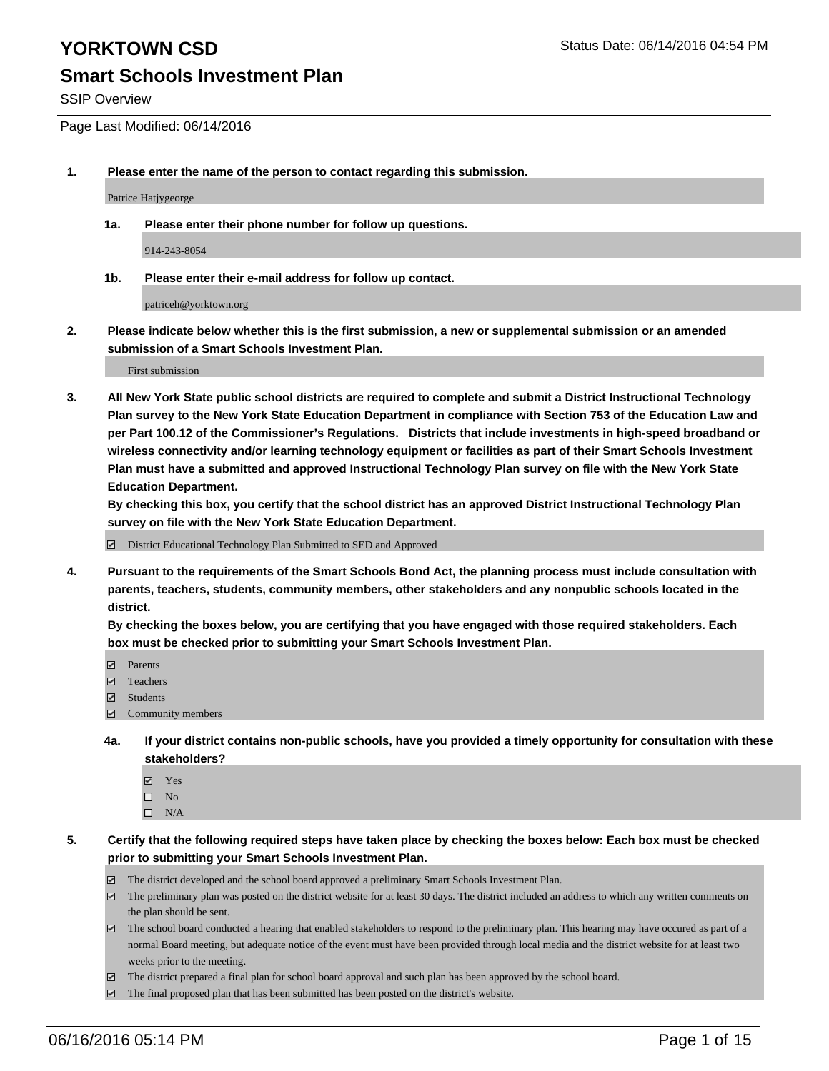SSIP Overview

Page Last Modified: 06/14/2016

**1. Please enter the name of the person to contact regarding this submission.**

Patrice Hatjygeorge

**1a. Please enter their phone number for follow up questions.**

914-243-8054

**1b. Please enter their e-mail address for follow up contact.**

patriceh@yorktown.org

**2. Please indicate below whether this is the first submission, a new or supplemental submission or an amended submission of a Smart Schools Investment Plan.**

First submission

**3. All New York State public school districts are required to complete and submit a District Instructional Technology Plan survey to the New York State Education Department in compliance with Section 753 of the Education Law and per Part 100.12 of the Commissioner's Regulations. Districts that include investments in high-speed broadband or wireless connectivity and/or learning technology equipment or facilities as part of their Smart Schools Investment Plan must have a submitted and approved Instructional Technology Plan survey on file with the New York State Education Department.** 

**By checking this box, you certify that the school district has an approved District Instructional Technology Plan survey on file with the New York State Education Department.**

District Educational Technology Plan Submitted to SED and Approved

**4. Pursuant to the requirements of the Smart Schools Bond Act, the planning process must include consultation with parents, teachers, students, community members, other stakeholders and any nonpublic schools located in the district.** 

**By checking the boxes below, you are certifying that you have engaged with those required stakeholders. Each box must be checked prior to submitting your Smart Schools Investment Plan.**

- **Parents**
- Teachers
- Students
- Community members
- **4a. If your district contains non-public schools, have you provided a timely opportunity for consultation with these stakeholders?**
	- Yes  $\square$  No
	- $\square$  N/A
- **5. Certify that the following required steps have taken place by checking the boxes below: Each box must be checked prior to submitting your Smart Schools Investment Plan.**
	- The district developed and the school board approved a preliminary Smart Schools Investment Plan.
	- $\boxdot$  The preliminary plan was posted on the district website for at least 30 days. The district included an address to which any written comments on the plan should be sent.
	- $\Box$  The school board conducted a hearing that enabled stakeholders to respond to the preliminary plan. This hearing may have occured as part of a normal Board meeting, but adequate notice of the event must have been provided through local media and the district website for at least two weeks prior to the meeting.
	- The district prepared a final plan for school board approval and such plan has been approved by the school board.
	- $\boxdot$  The final proposed plan that has been submitted has been posted on the district's website.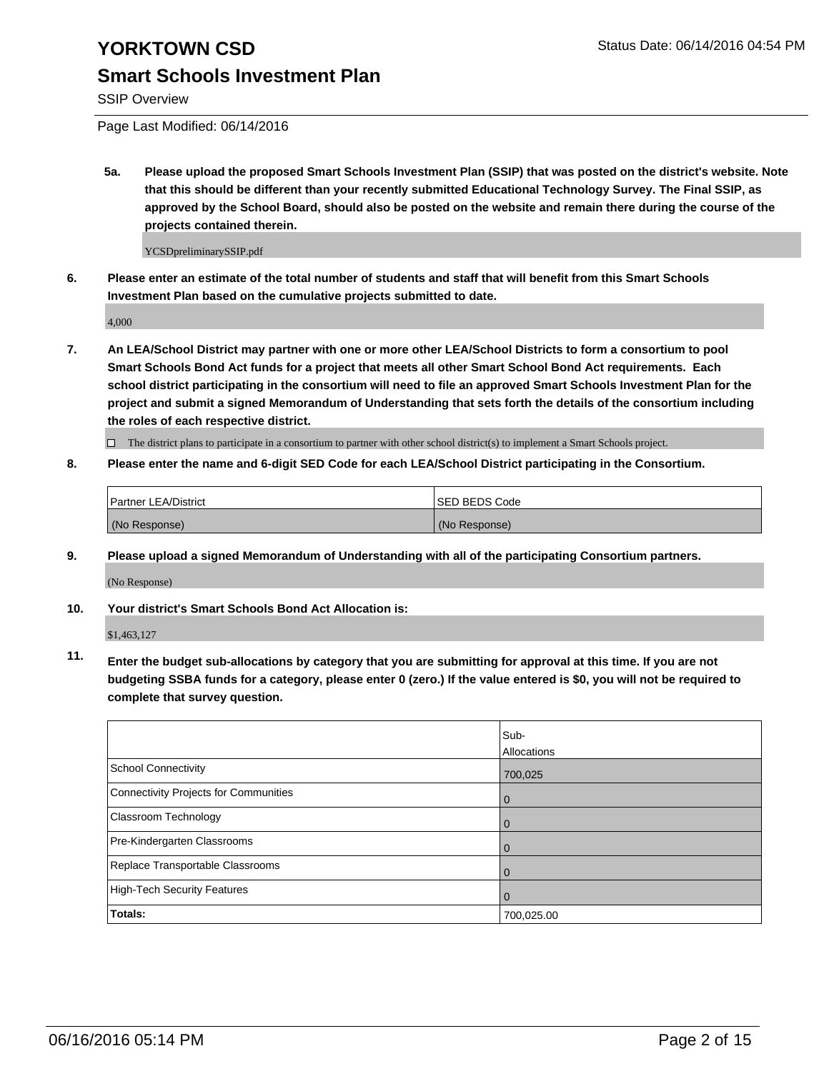SSIP Overview

Page Last Modified: 06/14/2016

**5a. Please upload the proposed Smart Schools Investment Plan (SSIP) that was posted on the district's website. Note that this should be different than your recently submitted Educational Technology Survey. The Final SSIP, as approved by the School Board, should also be posted on the website and remain there during the course of the projects contained therein.**

YCSDpreliminarySSIP.pdf

**6. Please enter an estimate of the total number of students and staff that will benefit from this Smart Schools Investment Plan based on the cumulative projects submitted to date.**

4,000

**7. An LEA/School District may partner with one or more other LEA/School Districts to form a consortium to pool Smart Schools Bond Act funds for a project that meets all other Smart School Bond Act requirements. Each school district participating in the consortium will need to file an approved Smart Schools Investment Plan for the project and submit a signed Memorandum of Understanding that sets forth the details of the consortium including the roles of each respective district.**

 $\Box$  The district plans to participate in a consortium to partner with other school district(s) to implement a Smart Schools project.

**8. Please enter the name and 6-digit SED Code for each LEA/School District participating in the Consortium.**

| <b>Partner LEA/District</b> | ISED BEDS Code |
|-----------------------------|----------------|
| (No Response)               | (No Response)  |

**9. Please upload a signed Memorandum of Understanding with all of the participating Consortium partners.**

(No Response)

**10. Your district's Smart Schools Bond Act Allocation is:**

\$1,463,127

**11. Enter the budget sub-allocations by category that you are submitting for approval at this time. If you are not budgeting SSBA funds for a category, please enter 0 (zero.) If the value entered is \$0, you will not be required to complete that survey question.**

|                                       | Sub-        |
|---------------------------------------|-------------|
|                                       | Allocations |
| <b>School Connectivity</b>            | 700,025     |
| Connectivity Projects for Communities | $\Omega$    |
| Classroom Technology                  | 0           |
| Pre-Kindergarten Classrooms           | $\Omega$    |
| Replace Transportable Classrooms      | $\Omega$    |
| High-Tech Security Features           | $\Omega$    |
| <b>Totals:</b>                        | 700,025.00  |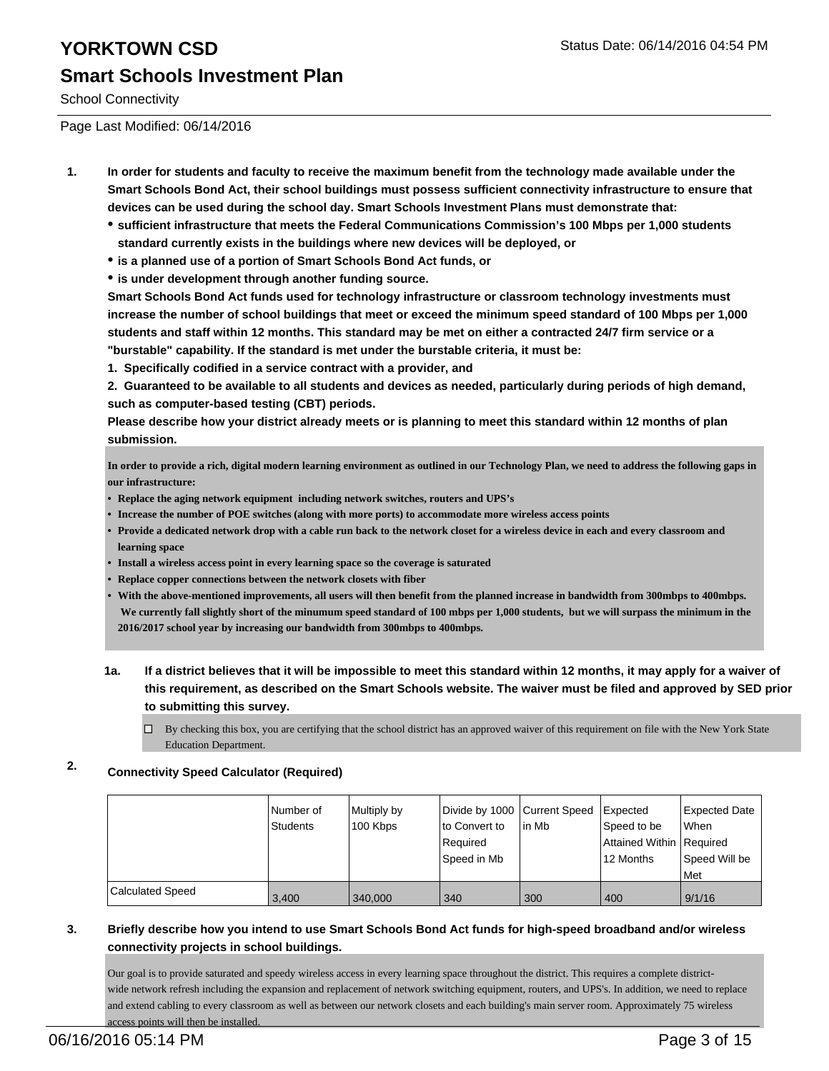School Connectivity

Page Last Modified: 06/14/2016

- **1. In order for students and faculty to receive the maximum benefit from the technology made available under the Smart Schools Bond Act, their school buildings must possess sufficient connectivity infrastructure to ensure that devices can be used during the school day. Smart Schools Investment Plans must demonstrate that:**
	- **sufficient infrastructure that meets the Federal Communications Commission's 100 Mbps per 1,000 students standard currently exists in the buildings where new devices will be deployed, or**
	- **is a planned use of a portion of Smart Schools Bond Act funds, or**
	- **is under development through another funding source.**

**Smart Schools Bond Act funds used for technology infrastructure or classroom technology investments must increase the number of school buildings that meet or exceed the minimum speed standard of 100 Mbps per 1,000 students and staff within 12 months. This standard may be met on either a contracted 24/7 firm service or a "burstable" capability. If the standard is met under the burstable criteria, it must be:**

**1. Specifically codified in a service contract with a provider, and**

**2. Guaranteed to be available to all students and devices as needed, particularly during periods of high demand, such as computer-based testing (CBT) periods.**

**Please describe how your district already meets or is planning to meet this standard within 12 months of plan submission.**

**In order to provide a rich, digital modern learning environment as outlined in our Technology Plan, we need to address the following gaps in our infrastructure:**

- **• Replace the aging network equipment including network switches, routers and UPS's**
- **• Increase the number of POE switches (along with more ports) to accommodate more wireless access points**
- **Provide a dedicated network drop with a cable run back to the network closet for a wireless device in each and every classroom and • learning space**
- **• Install a wireless access point in every learning space so the coverage is saturated**
- **• Replace copper connections between the network closets with fiber**
- **With the above-mentioned improvements, all users will then benefit from the planned increase in bandwidth from 300mbps to 400mbps. • We currently fall slightly short of the minumum speed standard of 100 mbps per 1,000 students, but we will surpass the minimum in the 2016/2017 school year by increasing our bandwidth from 300mbps to 400mbps.**
- **1a. If a district believes that it will be impossible to meet this standard within 12 months, it may apply for a waiver of this requirement, as described on the Smart Schools website. The waiver must be filed and approved by SED prior to submitting this survey.**
	- $\Box$  By checking this box, you are certifying that the school district has an approved waiver of this requirement on file with the New York State Education Department.

### **2. Connectivity Speed Calculator (Required)**

|                         | l Number of<br>Students | Multiply by<br>100 Kbps | Divide by 1000 Current Speed<br>to Convert to<br>Required<br>lSpeed in Mb | lin Mb | <b>Expected</b><br>Speed to be<br>Attained Within   Required<br>12 Months | Expected Date<br><b>When</b><br>Speed Will be<br>l Met |
|-------------------------|-------------------------|-------------------------|---------------------------------------------------------------------------|--------|---------------------------------------------------------------------------|--------------------------------------------------------|
| <b>Calculated Speed</b> | 3,400                   | 340,000                 | 340                                                                       | 300    | 400                                                                       | 9/1/16                                                 |

### **3. Briefly describe how you intend to use Smart Schools Bond Act funds for high-speed broadband and/or wireless connectivity projects in school buildings.**

Our goal is to provide saturated and speedy wireless access in every learning space throughout the district. This requires a complete districtwide network refresh including the expansion and replacement of network switching equipment, routers, and UPS's. In addition, we need to replace and extend cabling to every classroom as well as between our network closets and each building's main server room. Approximately 75 wireless access points will then be installed.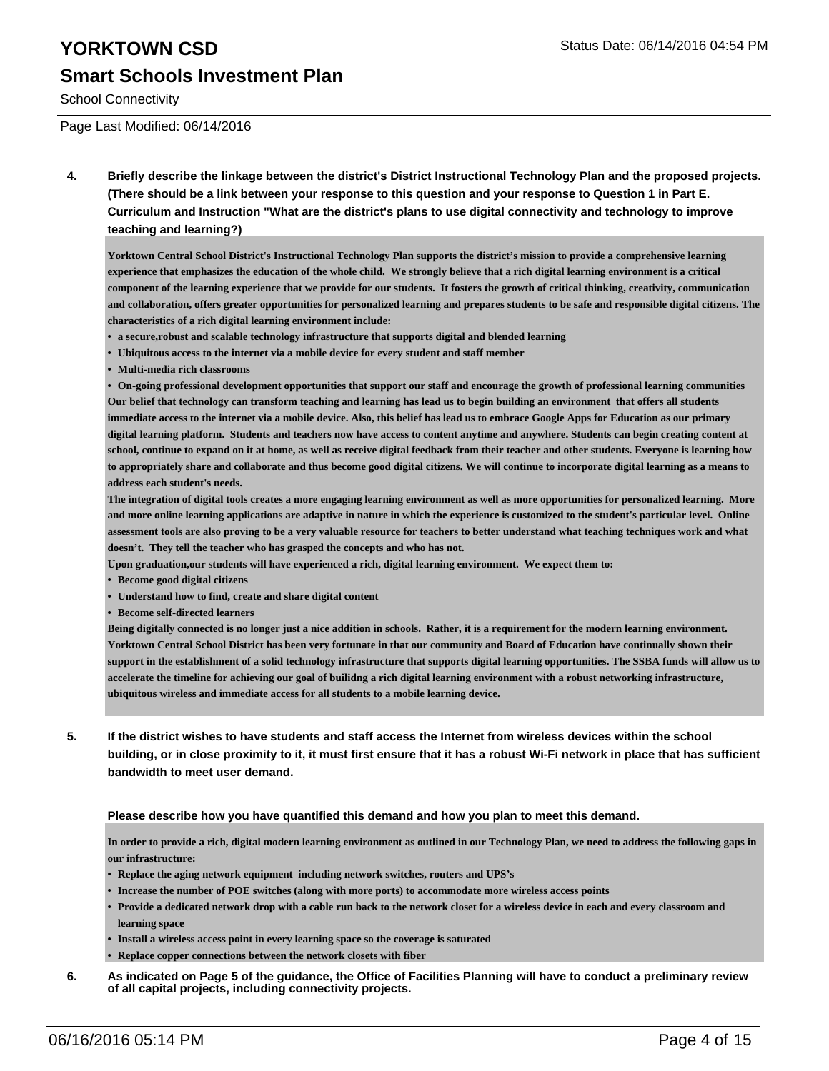School Connectivity

Page Last Modified: 06/14/2016

**4. Briefly describe the linkage between the district's District Instructional Technology Plan and the proposed projects. (There should be a link between your response to this question and your response to Question 1 in Part E. Curriculum and Instruction "What are the district's plans to use digital connectivity and technology to improve teaching and learning?)**

**Yorktown Central School District's Instructional Technology Plan supports the district's mission to provide a comprehensive learning experience that emphasizes the education of the whole child. We strongly believe that a rich digital learning environment is a critical component of the learning experience that we provide for our students. It fosters the growth of critical thinking, creativity, communication and collaboration, offers greater opportunities for personalized learning and prepares students to be safe and responsible digital citizens. The characteristics of a rich digital learning environment include:**

- **• a secure,robust and scalable technology infrastructure that supports digital and blended learning**
- **• Ubiquitous access to the internet via a mobile device for every student and staff member**
- **• Multi-media rich classrooms**

**• On-going professional development opportunities that support our staff and encourage the growth of professional learning communities Our belief that technology can transform teaching and learning has lead us to begin building an environment that offers all students immediate access to the internet via a mobile device. Also, this belief has lead us to embrace Google Apps for Education as our primary digital learning platform. Students and teachers now have access to content anytime and anywhere. Students can begin creating content at school, continue to expand on it at home, as well as receive digital feedback from their teacher and other students. Everyone is learning how to appropriately share and collaborate and thus become good digital citizens. We will continue to incorporate digital learning as a means to address each student's needs.**

**The integration of digital tools creates a more engaging learning environment as well as more opportunities for personalized learning. More and more online learning applications are adaptive in nature in which the experience is customized to the student's particular level. Online assessment tools are also proving to be a very valuable resource for teachers to better understand what teaching techniques work and what doesn't. They tell the teacher who has grasped the concepts and who has not.**

**Upon graduation,our students will have experienced a rich, digital learning environment. We expect them to:**

- **• Become good digital citizens**
- **• Understand how to find, create and share digital content**
- **• Become self-directed learners**

**Being digitally connected is no longer just a nice addition in schools. Rather, it is a requirement for the modern learning environment. Yorktown Central School District has been very fortunate in that our community and Board of Education have continually shown their support in the establishment of a solid technology infrastructure that supports digital learning opportunities. The SSBA funds will allow us to accelerate the timeline for achieving our goal of builidng a rich digital learning environment with a robust networking infrastructure, ubiquitous wireless and immediate access for all students to a mobile learning device.**

**5. If the district wishes to have students and staff access the Internet from wireless devices within the school building, or in close proximity to it, it must first ensure that it has a robust Wi-Fi network in place that has sufficient bandwidth to meet user demand.**

### **Please describe how you have quantified this demand and how you plan to meet this demand.**

**In order to provide a rich, digital modern learning environment as outlined in our Technology Plan, we need to address the following gaps in our infrastructure:**

- **• Replace the aging network equipment including network switches, routers and UPS's**
- **• Increase the number of POE switches (along with more ports) to accommodate more wireless access points**
- **Provide a dedicated network drop with a cable run back to the network closet for a wireless device in each and every classroom and • learning space**
- **• Install a wireless access point in every learning space so the coverage is saturated**
- **• Replace copper connections between the network closets with fiber**
- **6. As indicated on Page 5 of the guidance, the Office of Facilities Planning will have to conduct a preliminary review of all capital projects, including connectivity projects.**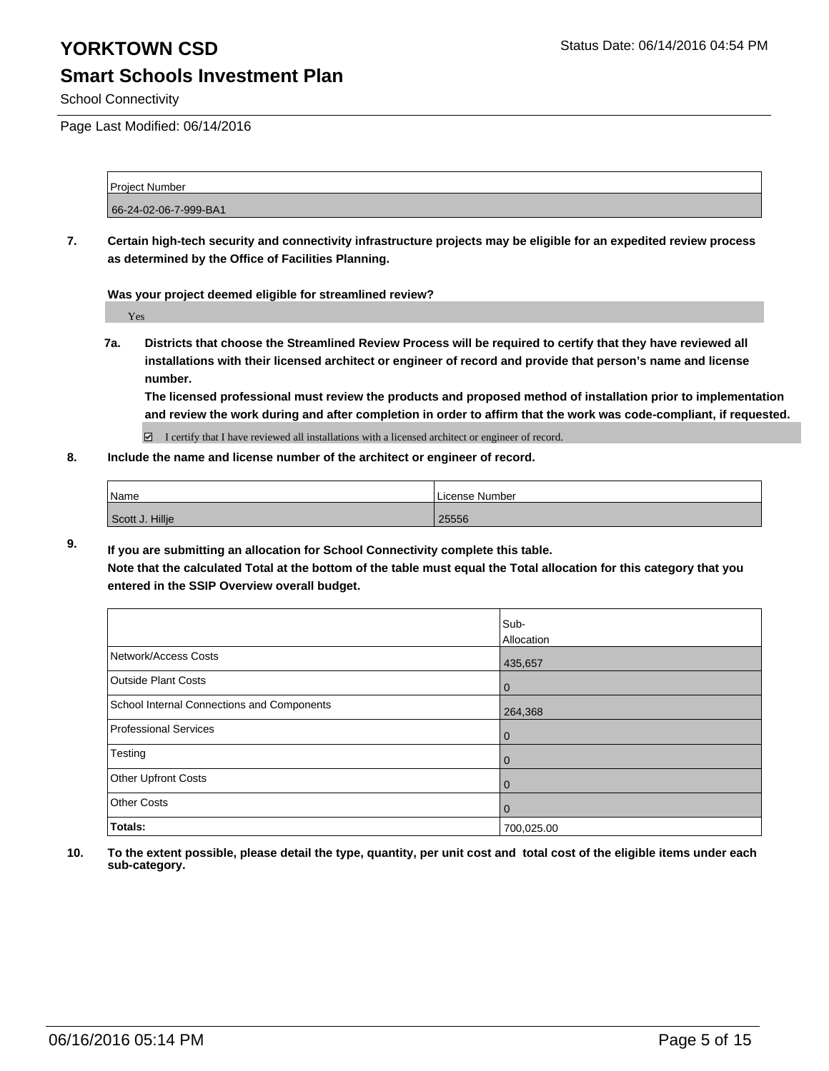School Connectivity

Page Last Modified: 06/14/2016

Project Number 66-24-02-06-7-999-BA1

**7. Certain high-tech security and connectivity infrastructure projects may be eligible for an expedited review process as determined by the Office of Facilities Planning.**

**Was your project deemed eligible for streamlined review?**

Yes

**7a. Districts that choose the Streamlined Review Process will be required to certify that they have reviewed all installations with their licensed architect or engineer of record and provide that person's name and license number.**

**The licensed professional must review the products and proposed method of installation prior to implementation and review the work during and after completion in order to affirm that the work was code-compliant, if requested.**

 $\Box$  I certify that I have reviewed all installations with a licensed architect or engineer of record.

**8. Include the name and license number of the architect or engineer of record.**

| Name            | License Number |
|-----------------|----------------|
| Scott J. Hillje | 25556          |

**9. If you are submitting an allocation for School Connectivity complete this table.**

**Note that the calculated Total at the bottom of the table must equal the Total allocation for this category that you entered in the SSIP Overview overall budget.** 

|                                            | Sub-<br>Allocation |
|--------------------------------------------|--------------------|
| Network/Access Costs                       | 435,657            |
| Outside Plant Costs                        | 0                  |
| School Internal Connections and Components | 264,368            |
| Professional Services                      | 0                  |
| Testing                                    | 0                  |
| Other Upfront Costs                        | 0                  |
| <b>Other Costs</b>                         | $\mathbf 0$        |
| Totals:                                    | 700,025.00         |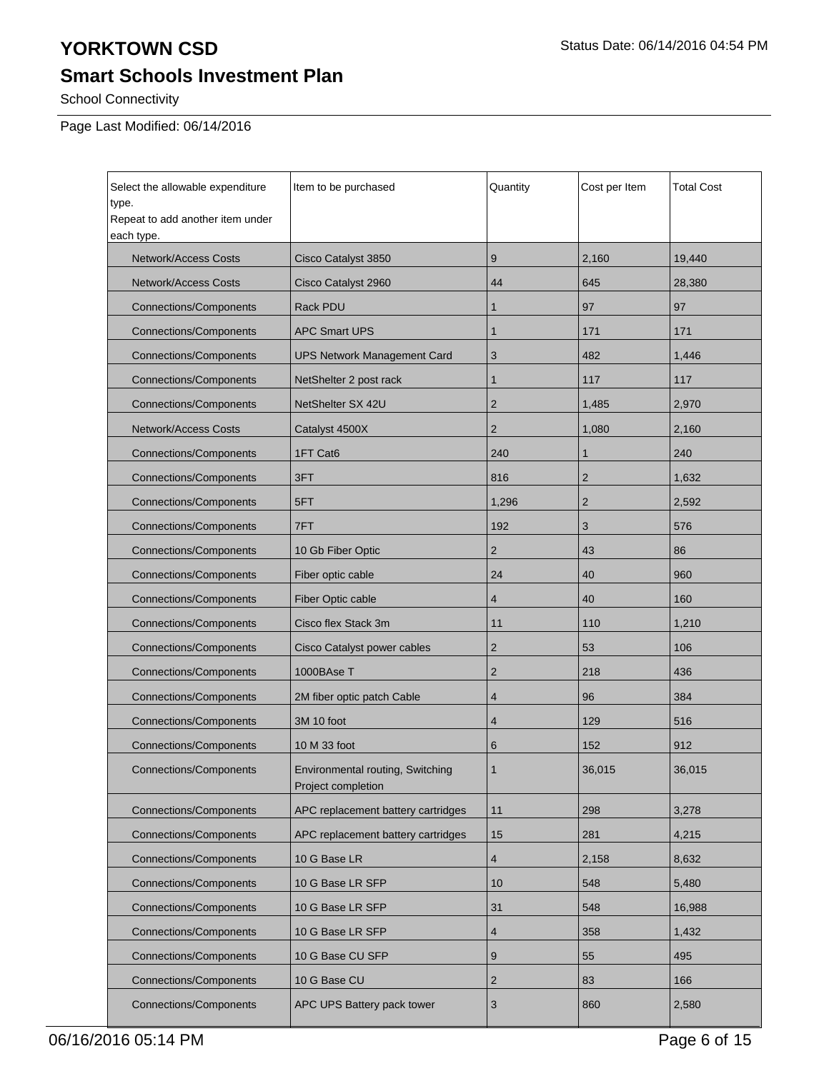## **YORKTOWN CSD** Status Date: 06/14/2016 04:54 PM

## **Smart Schools Investment Plan**

School Connectivity

Page Last Modified: 06/14/2016

| Select the allowable expenditure<br>type.<br>Repeat to add another item under<br>each type. | Item to be purchased<br>Cost per Item<br>Quantity      |                | Total Cost     |        |
|---------------------------------------------------------------------------------------------|--------------------------------------------------------|----------------|----------------|--------|
| <b>Network/Access Costs</b>                                                                 | Cisco Catalyst 3850                                    | 9              | 2,160          | 19,440 |
| <b>Network/Access Costs</b>                                                                 | Cisco Catalyst 2960                                    | 44             | 645            | 28,380 |
| <b>Connections/Components</b>                                                               | Rack PDU                                               | $\mathbf{1}$   | 97             | 97     |
| <b>Connections/Components</b>                                                               | <b>APC Smart UPS</b>                                   | 1              | 171            | 171    |
| <b>Connections/Components</b>                                                               | <b>UPS Network Management Card</b>                     | 3              | 482            | 1,446  |
| <b>Connections/Components</b>                                                               | NetShelter 2 post rack                                 | 1              | 117            | 117    |
| <b>Connections/Components</b>                                                               | NetShelter SX 42U                                      | $\overline{2}$ | 1,485          | 2,970  |
| <b>Network/Access Costs</b>                                                                 | Catalyst 4500X                                         | $\overline{2}$ | 1,080          | 2,160  |
| <b>Connections/Components</b>                                                               | 1FT Cat6                                               | 240            | 1              | 240    |
| <b>Connections/Components</b>                                                               | 3FT                                                    | 816            | $\overline{2}$ | 1,632  |
| <b>Connections/Components</b>                                                               | 5FT                                                    | 1,296          | $\overline{2}$ | 2,592  |
| <b>Connections/Components</b>                                                               | 7FT                                                    | 192            | 3              | 576    |
| <b>Connections/Components</b>                                                               | 10 Gb Fiber Optic                                      | $\overline{2}$ | 43             | 86     |
| <b>Connections/Components</b>                                                               | Fiber optic cable                                      | 24             | 40             | 960    |
| <b>Connections/Components</b>                                                               | Fiber Optic cable                                      | 4              | 40             | 160    |
| <b>Connections/Components</b>                                                               | Cisco flex Stack 3m                                    | 11             | 110            | 1,210  |
| <b>Connections/Components</b>                                                               | Cisco Catalyst power cables                            | $\overline{2}$ | 53             | 106    |
| <b>Connections/Components</b>                                                               | 1000BAse T                                             | $\overline{2}$ | 218            | 436    |
| <b>Connections/Components</b>                                                               | 2M fiber optic patch Cable                             | 4              | 96             | 384    |
| <b>Connections/Components</b>                                                               | 3M 10 foot                                             | 4              | 129            | 516    |
| <b>Connections/Components</b>                                                               | 10 M 33 foot                                           | 6              | 152            | 912    |
| <b>Connections/Components</b>                                                               | Environmental routing, Switching<br>Project completion | 1              | 36,015         | 36,015 |
| <b>Connections/Components</b>                                                               | APC replacement battery cartridges                     | 11             | 298            | 3,278  |
| <b>Connections/Components</b>                                                               | APC replacement battery cartridges                     | 15             | 281            | 4,215  |
| Connections/Components                                                                      | 10 G Base LR                                           | 4              | 2,158          | 8,632  |
| <b>Connections/Components</b>                                                               | 10 G Base LR SFP                                       | 10             | 548            | 5,480  |
| Connections/Components                                                                      | 10 G Base LR SFP                                       | 31             | 548            | 16,988 |
| <b>Connections/Components</b>                                                               | 10 G Base LR SFP                                       | 4              | 358            | 1,432  |
| Connections/Components                                                                      | 10 G Base CU SFP                                       | 9              | 55             | 495    |
| Connections/Components                                                                      | 10 G Base CU                                           | $\overline{2}$ | 83             | 166    |
| <b>Connections/Components</b>                                                               | APC UPS Battery pack tower                             | 3              | 860            | 2,580  |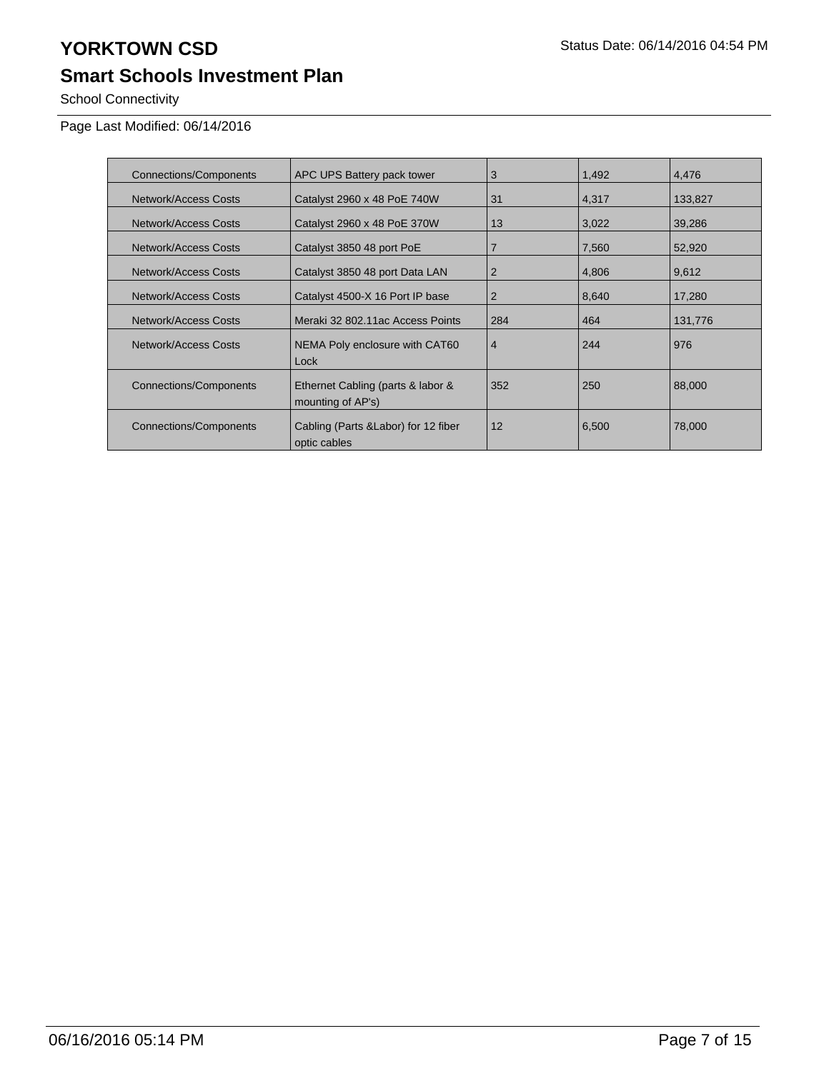# **YORKTOWN CSD** Status Date: 06/14/2016 04:54 PM

## **Smart Schools Investment Plan**

School Connectivity

Page Last Modified: 06/14/2016

| <b>Connections/Components</b> | APC UPS Battery pack tower                             | 3              | 1,492 | 4,476   |
|-------------------------------|--------------------------------------------------------|----------------|-------|---------|
| Network/Access Costs          | Catalyst 2960 x 48 PoE 740W                            | 31             | 4,317 | 133,827 |
| Network/Access Costs          | Catalyst 2960 x 48 PoE 370W                            | 13             | 3,022 | 39,286  |
| Network/Access Costs          | Catalyst 3850 48 port PoE                              | $\overline{7}$ | 7,560 | 52,920  |
| Network/Access Costs          | Catalyst 3850 48 port Data LAN                         | $\overline{2}$ | 4,806 | 9,612   |
| Network/Access Costs          | Catalyst 4500-X 16 Port IP base                        |                | 8,640 | 17,280  |
| Network/Access Costs          | Meraki 32 802.11ac Access Points                       | 284            | 464   | 131,776 |
| Network/Access Costs          | NEMA Poly enclosure with CAT60<br>Lock                 |                | 244   | 976     |
| <b>Connections/Components</b> | Ethernet Cabling (parts & labor &<br>mounting of AP's) |                | 250   | 88,000  |
| Connections/Components        | Cabling (Parts & Labor) for 12 fiber<br>optic cables   | 12             | 6,500 | 78,000  |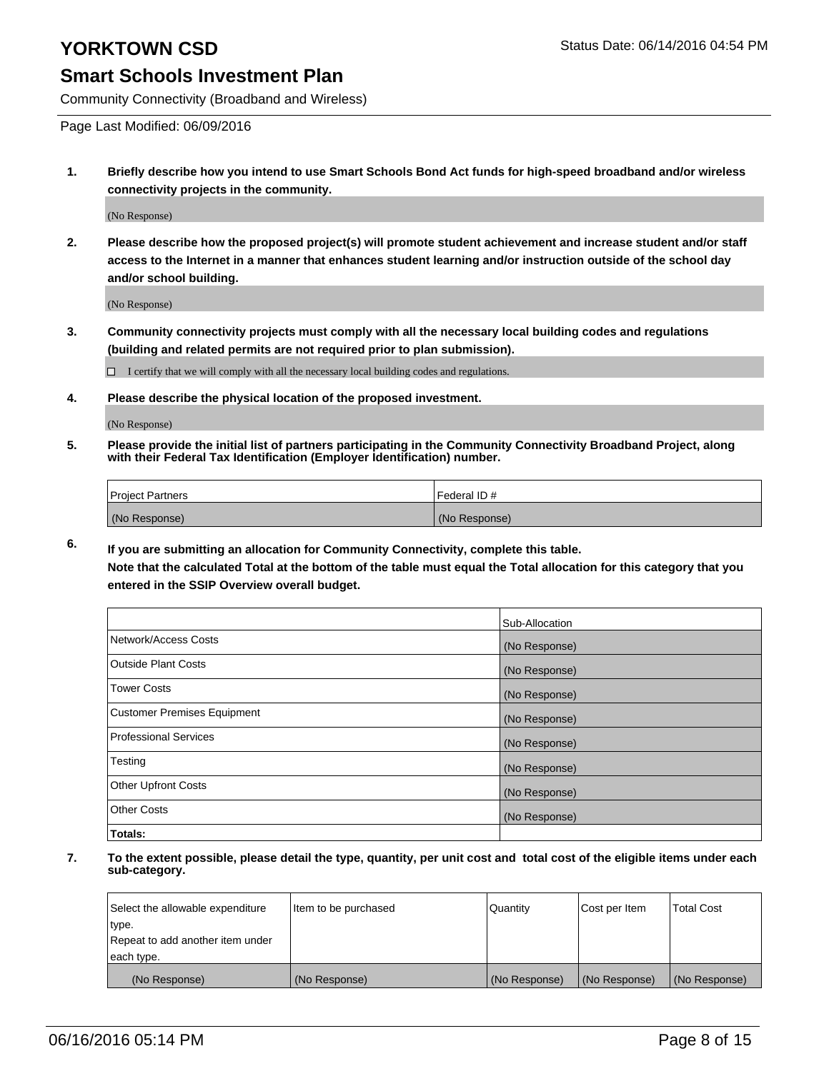Community Connectivity (Broadband and Wireless)

Page Last Modified: 06/09/2016

**1. Briefly describe how you intend to use Smart Schools Bond Act funds for high-speed broadband and/or wireless connectivity projects in the community.**

(No Response)

**2. Please describe how the proposed project(s) will promote student achievement and increase student and/or staff access to the Internet in a manner that enhances student learning and/or instruction outside of the school day and/or school building.**

(No Response)

**3. Community connectivity projects must comply with all the necessary local building codes and regulations (building and related permits are not required prior to plan submission).**

 $\Box$  I certify that we will comply with all the necessary local building codes and regulations.

**4. Please describe the physical location of the proposed investment.**

(No Response)

**5. Please provide the initial list of partners participating in the Community Connectivity Broadband Project, along with their Federal Tax Identification (Employer Identification) number.**

| Project Partners | <b>IFederal ID#</b> |
|------------------|---------------------|
| (No Response)    | (No Response)       |

**6. If you are submitting an allocation for Community Connectivity, complete this table.**

**Note that the calculated Total at the bottom of the table must equal the Total allocation for this category that you entered in the SSIP Overview overall budget.**

|                             | Sub-Allocation |
|-----------------------------|----------------|
| Network/Access Costs        | (No Response)  |
| Outside Plant Costs         | (No Response)  |
| <b>Tower Costs</b>          | (No Response)  |
| Customer Premises Equipment | (No Response)  |
| Professional Services       | (No Response)  |
| Testing                     | (No Response)  |
| Other Upfront Costs         | (No Response)  |
| Other Costs                 | (No Response)  |
| Totals:                     |                |

| Select the allowable expenditure | Item to be purchased | Quantity      | Cost per Item | <b>Total Cost</b> |
|----------------------------------|----------------------|---------------|---------------|-------------------|
| type.                            |                      |               |               |                   |
| Repeat to add another item under |                      |               |               |                   |
| each type.                       |                      |               |               |                   |
| (No Response)                    | (No Response)        | (No Response) | (No Response) | (No Response)     |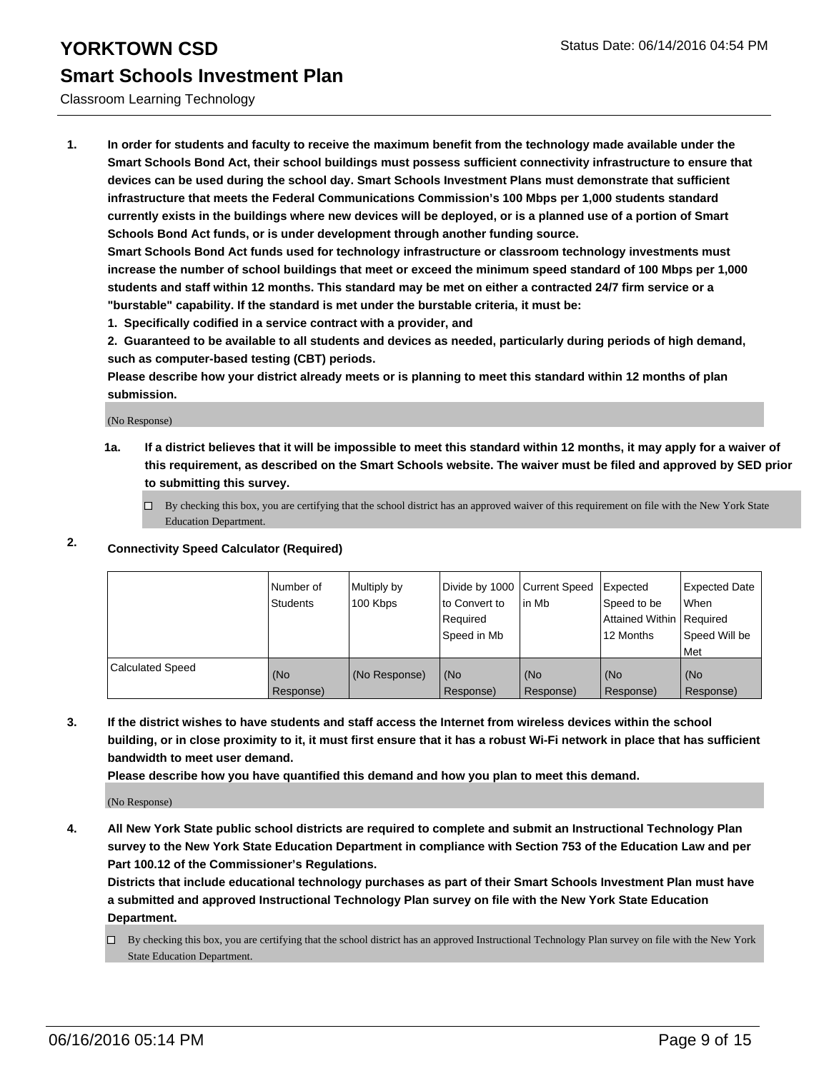Classroom Learning Technology

**1. In order for students and faculty to receive the maximum benefit from the technology made available under the Smart Schools Bond Act, their school buildings must possess sufficient connectivity infrastructure to ensure that devices can be used during the school day. Smart Schools Investment Plans must demonstrate that sufficient infrastructure that meets the Federal Communications Commission's 100 Mbps per 1,000 students standard currently exists in the buildings where new devices will be deployed, or is a planned use of a portion of Smart Schools Bond Act funds, or is under development through another funding source.**

**Smart Schools Bond Act funds used for technology infrastructure or classroom technology investments must increase the number of school buildings that meet or exceed the minimum speed standard of 100 Mbps per 1,000 students and staff within 12 months. This standard may be met on either a contracted 24/7 firm service or a "burstable" capability. If the standard is met under the burstable criteria, it must be:**

**1. Specifically codified in a service contract with a provider, and**

**2. Guaranteed to be available to all students and devices as needed, particularly during periods of high demand, such as computer-based testing (CBT) periods.**

**Please describe how your district already meets or is planning to meet this standard within 12 months of plan submission.**

(No Response)

**1a. If a district believes that it will be impossible to meet this standard within 12 months, it may apply for a waiver of this requirement, as described on the Smart Schools website. The waiver must be filed and approved by SED prior to submitting this survey.**

 $\Box$  By checking this box, you are certifying that the school district has an approved waiver of this requirement on file with the New York State Education Department.

### **2. Connectivity Speed Calculator (Required)**

|                  | Number of<br><b>Students</b> | Multiply by<br>100 Kbps | Divide by 1000 Current Speed<br>Ito Convert to<br>Required<br>Speed in Mb | lin Mb           | Expected<br>Speed to be<br>Attained Within Required<br>12 Months | Expected Date<br>l When<br>Speed Will be<br>l Met |
|------------------|------------------------------|-------------------------|---------------------------------------------------------------------------|------------------|------------------------------------------------------------------|---------------------------------------------------|
| Calculated Speed | (No<br>Response)             | (No Response)           | (No<br>Response)                                                          | (No<br>Response) | (No<br>Response)                                                 | (No<br>Response)                                  |

**3. If the district wishes to have students and staff access the Internet from wireless devices within the school building, or in close proximity to it, it must first ensure that it has a robust Wi-Fi network in place that has sufficient bandwidth to meet user demand.**

**Please describe how you have quantified this demand and how you plan to meet this demand.**

(No Response)

**4. All New York State public school districts are required to complete and submit an Instructional Technology Plan survey to the New York State Education Department in compliance with Section 753 of the Education Law and per Part 100.12 of the Commissioner's Regulations.**

**Districts that include educational technology purchases as part of their Smart Schools Investment Plan must have a submitted and approved Instructional Technology Plan survey on file with the New York State Education Department.**

 $\Box$  By checking this box, you are certifying that the school district has an approved Instructional Technology Plan survey on file with the New York State Education Department.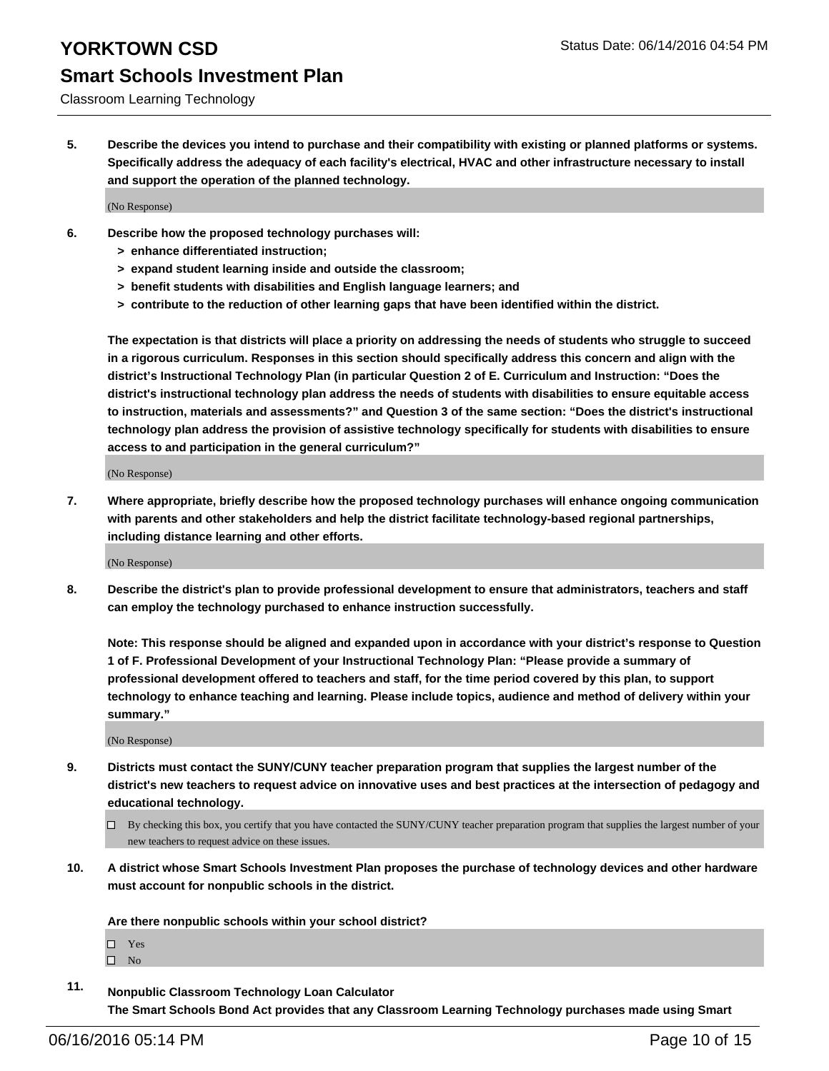Classroom Learning Technology

**5. Describe the devices you intend to purchase and their compatibility with existing or planned platforms or systems. Specifically address the adequacy of each facility's electrical, HVAC and other infrastructure necessary to install and support the operation of the planned technology.**

(No Response)

- **6. Describe how the proposed technology purchases will:**
	- **> enhance differentiated instruction;**
	- **> expand student learning inside and outside the classroom;**
	- **> benefit students with disabilities and English language learners; and**
	- **> contribute to the reduction of other learning gaps that have been identified within the district.**

**The expectation is that districts will place a priority on addressing the needs of students who struggle to succeed in a rigorous curriculum. Responses in this section should specifically address this concern and align with the district's Instructional Technology Plan (in particular Question 2 of E. Curriculum and Instruction: "Does the district's instructional technology plan address the needs of students with disabilities to ensure equitable access to instruction, materials and assessments?" and Question 3 of the same section: "Does the district's instructional technology plan address the provision of assistive technology specifically for students with disabilities to ensure access to and participation in the general curriculum?"**

(No Response)

**7. Where appropriate, briefly describe how the proposed technology purchases will enhance ongoing communication with parents and other stakeholders and help the district facilitate technology-based regional partnerships, including distance learning and other efforts.**

(No Response)

**8. Describe the district's plan to provide professional development to ensure that administrators, teachers and staff can employ the technology purchased to enhance instruction successfully.**

**Note: This response should be aligned and expanded upon in accordance with your district's response to Question 1 of F. Professional Development of your Instructional Technology Plan: "Please provide a summary of professional development offered to teachers and staff, for the time period covered by this plan, to support technology to enhance teaching and learning. Please include topics, audience and method of delivery within your summary."**

(No Response)

- **9. Districts must contact the SUNY/CUNY teacher preparation program that supplies the largest number of the district's new teachers to request advice on innovative uses and best practices at the intersection of pedagogy and educational technology.**
	- $\Box$  By checking this box, you certify that you have contacted the SUNY/CUNY teacher preparation program that supplies the largest number of your new teachers to request advice on these issues.
- **10. A district whose Smart Schools Investment Plan proposes the purchase of technology devices and other hardware must account for nonpublic schools in the district.**

**Are there nonpublic schools within your school district?**

□ Yes

 $\square$  No

**11. Nonpublic Classroom Technology Loan Calculator The Smart Schools Bond Act provides that any Classroom Learning Technology purchases made using Smart**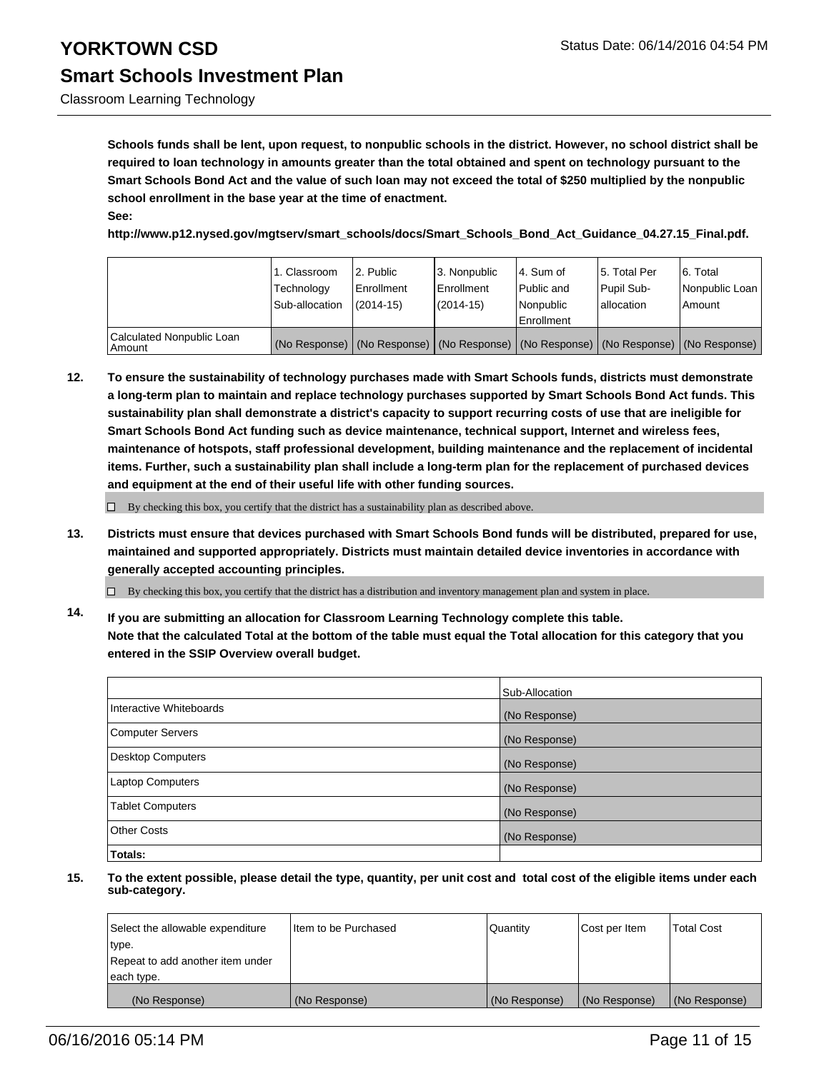Classroom Learning Technology

**Schools funds shall be lent, upon request, to nonpublic schools in the district. However, no school district shall be required to loan technology in amounts greater than the total obtained and spent on technology pursuant to the Smart Schools Bond Act and the value of such loan may not exceed the total of \$250 multiplied by the nonpublic school enrollment in the base year at the time of enactment. See:**

**http://www.p12.nysed.gov/mgtserv/smart\_schools/docs/Smart\_Schools\_Bond\_Act\_Guidance\_04.27.15\_Final.pdf.**

|                                     | 1. Classroom<br>Technology<br>Sub-allocation | 2. Public<br>Enrollment<br>$(2014 - 15)$ | 3. Nonpublic<br>Enrollment<br>(2014-15) | 4. Sum of<br>Public and<br>Nonpublic<br>Enrollment | 5. Total Per<br>Pupil Sub-<br>lallocation | 6. Total<br>Nonpublic Loan<br>Amount                                                          |
|-------------------------------------|----------------------------------------------|------------------------------------------|-----------------------------------------|----------------------------------------------------|-------------------------------------------|-----------------------------------------------------------------------------------------------|
| Calculated Nonpublic Loan<br>Amount |                                              |                                          |                                         |                                                    |                                           | (No Response)   (No Response)   (No Response)   (No Response)   (No Response)   (No Response) |

**12. To ensure the sustainability of technology purchases made with Smart Schools funds, districts must demonstrate a long-term plan to maintain and replace technology purchases supported by Smart Schools Bond Act funds. This sustainability plan shall demonstrate a district's capacity to support recurring costs of use that are ineligible for Smart Schools Bond Act funding such as device maintenance, technical support, Internet and wireless fees, maintenance of hotspots, staff professional development, building maintenance and the replacement of incidental items. Further, such a sustainability plan shall include a long-term plan for the replacement of purchased devices and equipment at the end of their useful life with other funding sources.**

 $\Box$  By checking this box, you certify that the district has a sustainability plan as described above.

**13. Districts must ensure that devices purchased with Smart Schools Bond funds will be distributed, prepared for use, maintained and supported appropriately. Districts must maintain detailed device inventories in accordance with generally accepted accounting principles.**

 $\Box$  By checking this box, you certify that the district has a distribution and inventory management plan and system in place.

**14. If you are submitting an allocation for Classroom Learning Technology complete this table. Note that the calculated Total at the bottom of the table must equal the Total allocation for this category that you entered in the SSIP Overview overall budget.**

|                          | Sub-Allocation |
|--------------------------|----------------|
| Interactive Whiteboards  | (No Response)  |
| <b>Computer Servers</b>  | (No Response)  |
| <b>Desktop Computers</b> | (No Response)  |
| Laptop Computers         | (No Response)  |
| <b>Tablet Computers</b>  | (No Response)  |
| Other Costs              | (No Response)  |
| Totals:                  |                |

| Select the allowable expenditure | Iltem to be Purchased | Quantity      | Cost per Item | <b>Total Cost</b> |
|----------------------------------|-----------------------|---------------|---------------|-------------------|
| type.                            |                       |               |               |                   |
| Repeat to add another item under |                       |               |               |                   |
| each type.                       |                       |               |               |                   |
| (No Response)                    | (No Response)         | (No Response) | (No Response) | (No Response)     |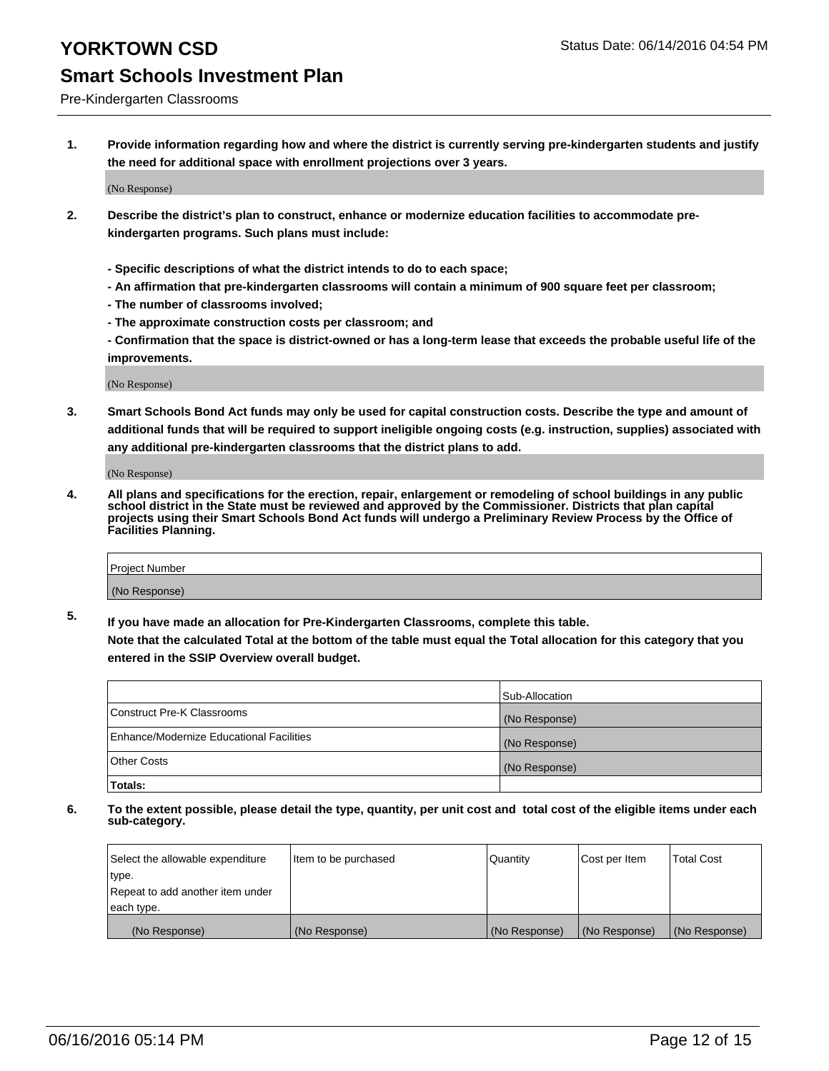### Pre-Kindergarten Classrooms

**1. Provide information regarding how and where the district is currently serving pre-kindergarten students and justify the need for additional space with enrollment projections over 3 years.**

(No Response)

- **2. Describe the district's plan to construct, enhance or modernize education facilities to accommodate prekindergarten programs. Such plans must include:**
	- **Specific descriptions of what the district intends to do to each space;**
	- **An affirmation that pre-kindergarten classrooms will contain a minimum of 900 square feet per classroom;**
	- **The number of classrooms involved;**
	- **The approximate construction costs per classroom; and**
	- **Confirmation that the space is district-owned or has a long-term lease that exceeds the probable useful life of the improvements.**

(No Response)

**3. Smart Schools Bond Act funds may only be used for capital construction costs. Describe the type and amount of additional funds that will be required to support ineligible ongoing costs (e.g. instruction, supplies) associated with any additional pre-kindergarten classrooms that the district plans to add.**

(No Response)

**4. All plans and specifications for the erection, repair, enlargement or remodeling of school buildings in any public school district in the State must be reviewed and approved by the Commissioner. Districts that plan capital projects using their Smart Schools Bond Act funds will undergo a Preliminary Review Process by the Office of Facilities Planning.**

| Project Number |  |
|----------------|--|
| (No Response)  |  |

**5. If you have made an allocation for Pre-Kindergarten Classrooms, complete this table. Note that the calculated Total at the bottom of the table must equal the Total allocation for this category that you**

**entered in the SSIP Overview overall budget.**

|                                          | Sub-Allocation |
|------------------------------------------|----------------|
| Construct Pre-K Classrooms               | (No Response)  |
| Enhance/Modernize Educational Facilities | (No Response)  |
| Other Costs                              | (No Response)  |
| Totals:                                  |                |

| Select the allowable expenditure | Item to be purchased | Quantity      | Cost per Item | <b>Total Cost</b> |
|----------------------------------|----------------------|---------------|---------------|-------------------|
| type.                            |                      |               |               |                   |
| Repeat to add another item under |                      |               |               |                   |
| each type.                       |                      |               |               |                   |
| (No Response)                    | (No Response)        | (No Response) | (No Response) | (No Response)     |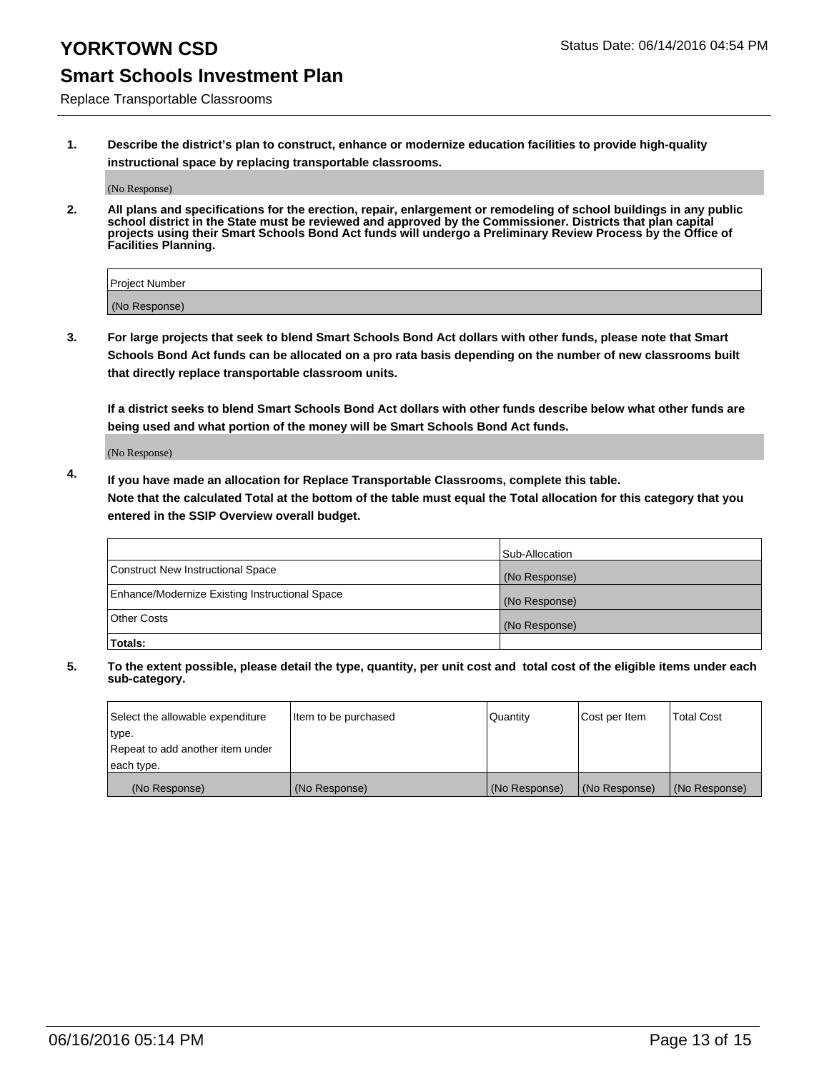### Replace Transportable Classrooms

**1. Describe the district's plan to construct, enhance or modernize education facilities to provide high-quality instructional space by replacing transportable classrooms.**

(No Response)

**2. All plans and specifications for the erection, repair, enlargement or remodeling of school buildings in any public school district in the State must be reviewed and approved by the Commissioner. Districts that plan capital projects using their Smart Schools Bond Act funds will undergo a Preliminary Review Process by the Office of Facilities Planning.**

| Project Number |  |
|----------------|--|
| (No Response)  |  |

**3. For large projects that seek to blend Smart Schools Bond Act dollars with other funds, please note that Smart Schools Bond Act funds can be allocated on a pro rata basis depending on the number of new classrooms built that directly replace transportable classroom units.**

**If a district seeks to blend Smart Schools Bond Act dollars with other funds describe below what other funds are being used and what portion of the money will be Smart Schools Bond Act funds.**

(No Response)

**4. If you have made an allocation for Replace Transportable Classrooms, complete this table. Note that the calculated Total at the bottom of the table must equal the Total allocation for this category that you entered in the SSIP Overview overall budget.**

|                                                | Sub-Allocation |
|------------------------------------------------|----------------|
| Construct New Instructional Space              | (No Response)  |
| Enhance/Modernize Existing Instructional Space | (No Response)  |
| <b>Other Costs</b>                             | (No Response)  |
| Totals:                                        |                |

| Select the allowable expenditure | Item to be purchased | <b>Quantity</b> | Cost per Item | <b>Total Cost</b> |
|----------------------------------|----------------------|-----------------|---------------|-------------------|
| type.                            |                      |                 |               |                   |
| Repeat to add another item under |                      |                 |               |                   |
| each type.                       |                      |                 |               |                   |
| (No Response)                    | (No Response)        | (No Response)   | (No Response) | (No Response)     |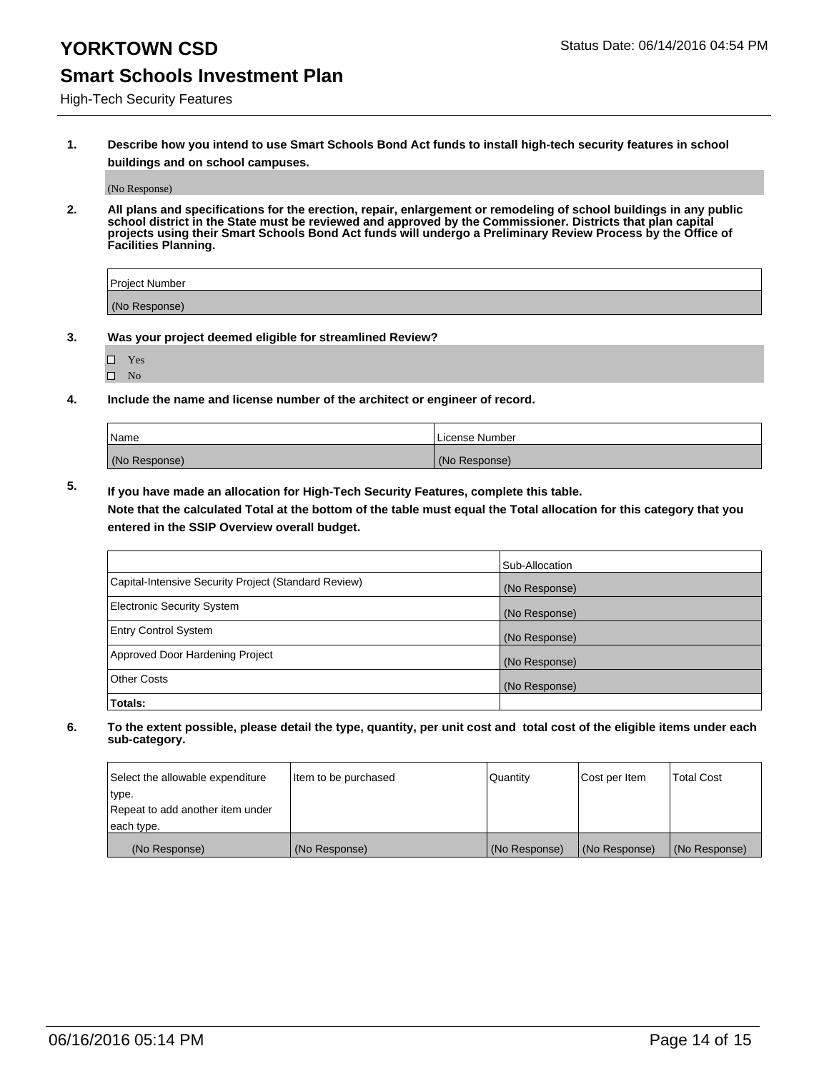### High-Tech Security Features

**1. Describe how you intend to use Smart Schools Bond Act funds to install high-tech security features in school buildings and on school campuses.**

(No Response)

**2. All plans and specifications for the erection, repair, enlargement or remodeling of school buildings in any public school district in the State must be reviewed and approved by the Commissioner. Districts that plan capital projects using their Smart Schools Bond Act funds will undergo a Preliminary Review Process by the Office of Facilities Planning.** 

| Project Number |  |
|----------------|--|
| (No Response)  |  |

- **3. Was your project deemed eligible for streamlined Review?**
	- Yes
	- $\square$  No
- **4. Include the name and license number of the architect or engineer of record.**

| Name          | License Number |
|---------------|----------------|
| (No Response) | (No Response)  |

**5. If you have made an allocation for High-Tech Security Features, complete this table.**

**Note that the calculated Total at the bottom of the table must equal the Total allocation for this category that you entered in the SSIP Overview overall budget.**

|                                                      | Sub-Allocation |
|------------------------------------------------------|----------------|
| Capital-Intensive Security Project (Standard Review) | (No Response)  |
| <b>Electronic Security System</b>                    | (No Response)  |
| <b>Entry Control System</b>                          | (No Response)  |
| Approved Door Hardening Project                      | (No Response)  |
| <b>Other Costs</b>                                   | (No Response)  |
| Totals:                                              |                |

| Select the allowable expenditure | litem to be purchased | Quantity      | Cost per Item | Total Cost    |
|----------------------------------|-----------------------|---------------|---------------|---------------|
| type.                            |                       |               |               |               |
| Repeat to add another item under |                       |               |               |               |
| each type.                       |                       |               |               |               |
| (No Response)                    | (No Response)         | (No Response) | (No Response) | (No Response) |